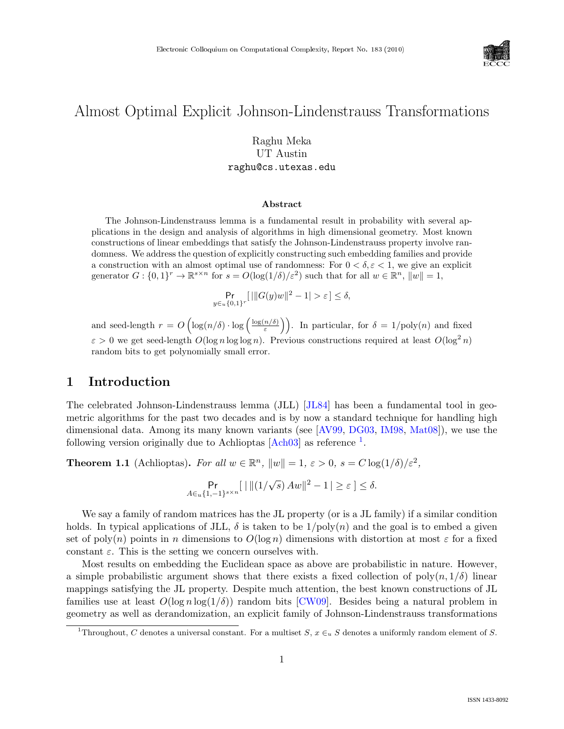

# Almost Optimal Explicit Johnson-Lindenstrauss Transformations

## Raghu Meka UT Austin raghu@cs.utexas.edu

#### Abstract

The Johnson-Lindenstrauss lemma is a fundamental result in probability with several applications in the design and analysis of algorithms in high dimensional geometry. Most known constructions of linear embeddings that satisfy the Johnson-Lindenstrauss property involve randomness. We address the question of explicitly constructing such embedding families and provide a construction with an almost optimal use of randomness: For  $0 < \delta, \varepsilon < 1$ , we give an explicit generator  $G: \{0,1\}^r \to \mathbb{R}^{s \times n}$  for  $s = O(\log(1/\delta)/\varepsilon^2)$  such that for all  $w \in \mathbb{R}^n$ ,  $\|w\| = 1$ ,

$$
\Pr_{y \in u\{0,1\}^r}[\|G(y)w\|^2 - 1| > \varepsilon] \le \delta,
$$

and seed-length  $r = O\left(\log(n/\delta) \cdot \log\left(\frac{\log(n/\delta)}{s}\right)\right)$  $\left(\frac{n/\delta}{\varepsilon}\right)$ . In particular, for  $\delta = 1/\text{poly}(n)$  and fixed  $\varepsilon > 0$  we get seed-length  $O(\log n \log \log n)$ . Previous constructions required at least  $O(\log^2 n)$ random bits to get polynomially small error.

## 1 Introduction

The celebrated Johnson-Lindenstrauss lemma (JLL) [\[JL84\]](#page--1-0) has been a fundamental tool in geometric algorithms for the past two decades and is by now a standard technique for handling high dimensional data. Among its many known variants (see [\[AV99,](#page--1-1) [DG03,](#page--1-2) [IM98,](#page--1-3) [Mat08\]](#page--1-4)), we use the following version originally due to Achlioptas  $[Ach03]$  as reference  $^1$  $^1$ .

**Theorem 1.1** (Achlioptas). For all  $w \in \mathbb{R}^n$ ,  $||w|| = 1$ ,  $\varepsilon > 0$ ,  $s = C \log(1/\delta)/\varepsilon^2$ ,

$$
\Pr_{A \in u\{1,-1\}^{s \times n}}[ \mid ||(1/\sqrt{s}) \, Aw||^2 - 1 \, | \ge \varepsilon \, ] \le \delta.
$$

We say a family of random matrices has the JL property (or is a JL family) if a similar condition holds. In typical applications of JLL,  $\delta$  is taken to be  $1/poly(n)$  and the goal is to embed a given set of poly(n) points in n dimensions to  $O(\log n)$  dimensions with distortion at most  $\varepsilon$  for a fixed constant  $\varepsilon$ . This is the setting we concern ourselves with.

Most results on embedding the Euclidean space as above are probabilistic in nature. However, a simple probabilistic argument shows that there exists a fixed collection of  $poly(n, 1/\delta)$  linear mappings satisfying the JL property. Despite much attention, the best known constructions of JL families use at least  $O(\log n \log(1/\delta))$  random bits [\[CW09\]](#page--1-6). Besides being a natural problem in geometry as well as derandomization, an explicit family of Johnson-Lindenstrauss transformations

<span id="page-0-0"></span><sup>&</sup>lt;sup>1</sup>Throughout, C denotes a universal constant. For a multiset S,  $x \in_u S$  denotes a uniformly random element of S.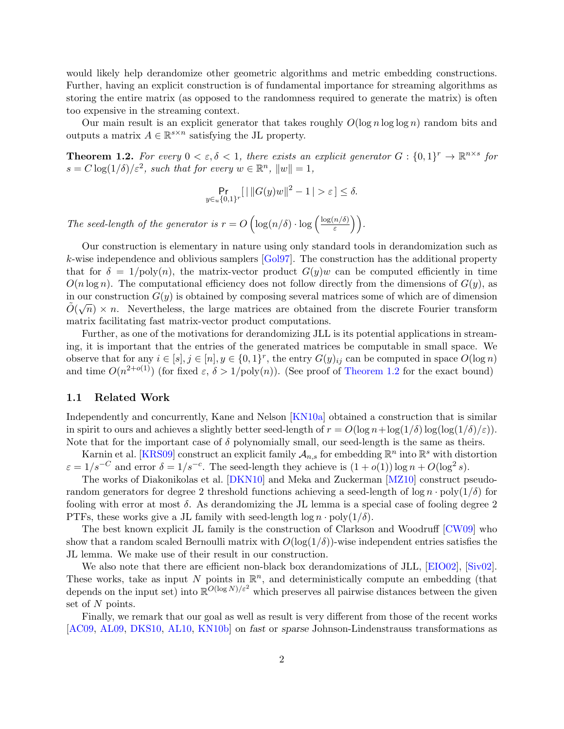would likely help derandomize other geometric algorithms and metric embedding constructions. Further, having an explicit construction is of fundamental importance for streaming algorithms as storing the entire matrix (as opposed to the randomness required to generate the matrix) is often too expensive in the streaming context.

Our main result is an explicit generator that takes roughly  $O(\log n \log \log n)$  random bits and outputs a matrix  $A \in \mathbb{R}^{s \times n}$  satisfying the JL property.

<span id="page-1-0"></span>**Theorem 1.2.** For every  $0 < \varepsilon, \delta < 1$ , there exists an explicit generator  $G : \{0,1\}^r \to \mathbb{R}^{n \times s}$  for  $s = C \log(1/\delta)/\varepsilon^2$ , such that for every  $w \in \mathbb{R}^n$ ,  $||w|| = 1$ ,

$$
\Pr_{y \in u\{0,1\}^r}[\|\|G(y)w\|^2 - 1| > \varepsilon] \le \delta.
$$

The seed-length of the generator is  $r = O\left(\log(n/\delta) \cdot \log\left(\frac{\log(n/\delta)}{s}\right)\right)$  $\left(\frac{n/\delta)}{\varepsilon}\right)\bigg).$ 

Our construction is elementary in nature using only standard tools in derandomization such as k-wise independence and oblivious samplers [\[Gol97\]](#page-6-0). The construction has the additional property that for  $\delta = 1/\text{poly}(n)$ , the matrix-vector product  $G(y)w$  can be computed efficiently in time  $O(n \log n)$ . The computational efficiency does not follow directly from the dimensions of  $G(y)$ , as in our construction  $G(y)$  is obtained by composing several matrices some of which are of dimension  $\tilde{O}(\sqrt{n}) \times n$ . Nevertheless, the large matrices are obtained from the discrete Fourier transform matrix facilitating fast matrix-vector product computations.

Further, as one of the motivations for derandomizing JLL is its potential applications in streaming, it is important that the entries of the generated matrices be computable in small space. We observe that for any  $i \in [s], j \in [n], y \in \{0,1\}^r$ , the entry  $G(y)_{ij}$  can be computed in space  $O(\log n)$ and time  $O(n^{2+o(1)})$  (for fixed  $\varepsilon$ ,  $\delta > 1/\text{poly}(n)$ ). (See proof of [Theorem 1.2](#page-1-0) for the exact bound)

#### 1.1 Related Work

Independently and concurrently, Kane and Nelson [\[KN10a\]](#page-6-1) obtained a construction that is similar in spirit to ours and achieves a slightly better seed-length of  $r = O(\log n + \log(1/\delta) \log(\log(1/\delta)/\epsilon))$ . Note that for the important case of  $\delta$  polynomially small, our seed-length is the same as theirs.

Karnin et al. [\[KRS09\]](#page-6-2) construct an explicit family  $\mathcal{A}_{n,s}$  for embedding  $\mathbb{R}^n$  into  $\mathbb{R}^s$  with distortion  $\varepsilon = 1/s^{-C}$  and error  $\delta = 1/s^{-c}$ . The seed-length they achieve is  $(1 + o(1)) \log n + O(\log^2 s)$ .

The works of Diakonikolas et al. [\[DKN10\]](#page-6-3) and Meka and Zuckerman [\[MZ10\]](#page--1-7) construct pseudorandom generators for degree 2 threshold functions achieving a seed-length of  $\log n \cdot \text{poly}(1/\delta)$  for fooling with error at most  $\delta$ . As derandomizing the JL lemma is a special case of fooling degree 2 PTFs, these works give a JL family with seed-length  $\log n \cdot \text{poly}(1/\delta)$ .

The best known explicit JL family is the construction of Clarkson and Woodruff [\[CW09\]](#page-6-4) who show that a random scaled Bernoulli matrix with  $O(\log(1/\delta))$ -wise independent entries satisfies the JL lemma. We make use of their result in our construction.

We also note that there are efficient non-black box derandomizations of JLL, [\[EIO02\]](#page-6-5), [\[Siv02\]](#page--1-8). These works, take as input N points in  $\mathbb{R}^n$ , and deterministically compute an embedding (that depends on the input set) into  $\mathbb{R}^{O(\log N)/\varepsilon^2}$  which preserves all pairwise distances between the given set of N points.

Finally, we remark that our goal as well as result is very different from those of the recent works [\[AC09,](#page-6-6) [AL09,](#page-6-7) [DKS10,](#page-6-8) [AL10,](#page-6-9) [KN10b\]](#page-6-10) on fast or sparse Johnson-Lindenstrauss transformations as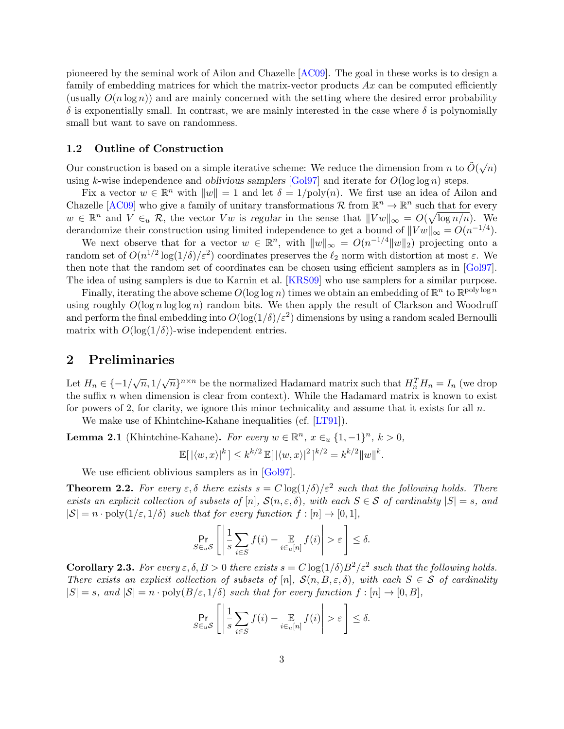pioneered by the seminal work of Ailon and Chazelle [\[AC09\]](#page-6-6). The goal in these works is to design a family of embedding matrices for which the matrix-vector products  $Ax$  can be computed efficiently (usually  $O(n \log n)$ ) and are mainly concerned with the setting where the desired error probability  $\delta$  is exponentially small. In contrast, we are mainly interested in the case where  $\delta$  is polynomially small but want to save on randomness.

#### 1.2 Outline of Construction

Our construction is based on a simple iterative scheme: We reduce the dimension from n to  $\tilde{O}(\sqrt{n})$ using k-wise independence and *oblivious samplers* [\[Gol97\]](#page-6-0) and iterate for  $O(\log \log n)$  steps.

Fix a vector  $w \in \mathbb{R}^n$  with  $||w|| = 1$  and let  $\delta = 1/\text{poly}(n)$ . We first use an idea of Ailon and Chazelle [\[AC09\]](#page-6-6) who give a family of unitary transformations  $\mathcal R$  from  $\mathbb R^n \to \mathbb R^n$  such that for every  $w \in \mathbb{R}^n$  and  $V \in_u \mathcal{R}$ , the vector  $Vw$  is regular in the sense that  $||Vw||_{\infty} = O(\sqrt{\log n/n})$ . We derandomize their construction using limited independence to get a bound of  $||Vw||_{\infty} = O(n^{-1/4})$ .

We next observe that for a vector  $w \in \mathbb{R}^n$ , with  $||w||_{\infty} = O(n^{-1/4}||w||_2)$  projecting onto a random set of  $O(n^{1/2} \log(1/\delta)/\varepsilon^2)$  coordinates preserves the  $\ell_2$  norm with distortion at most  $\varepsilon$ . We then note that the random set of coordinates can be chosen using efficient samplers as in [\[Gol97\]](#page-6-0). The idea of using samplers is due to Karnin et al. [\[KRS09\]](#page-6-2) who use samplers for a similar purpose.

Finally, iterating the above scheme  $O(\log \log n)$  times we obtain an embedding of  $\mathbb{R}^n$  to  $\mathbb{R}^{\text{poly}\log n}$ using roughly  $O(\log n \log \log n)$  random bits. We then apply the result of Clarkson and Woodruff and perform the final embedding into  $O(\log(1/\delta)/\varepsilon^2)$  dimensions by using a random scaled Bernoulli matrix with  $O(\log(1/\delta))$ -wise independent entries.

### 2 Preliminaries

Let  $H_n \in \{-1/\sqrt{n}, 1/\sqrt{n}\}^{n \times n}$  be the normalized Hadamard matrix such that  $H_n^T H_n = I_n$  (we drop the suffix  $n$  when dimension is clear from context). While the Hadamard matrix is known to exist for powers of 2, for clarity, we ignore this minor technicality and assume that it exists for all  $n$ .

We make use of Khintchine-Kahane inequalities (cf. [\[LT91\]](#page-6-11)).

<span id="page-2-1"></span>**Lemma 2.1** (Khintchine-Kahane). For every  $w \in \mathbb{R}^n$ ,  $x \in_u \{1, -1\}^n$ ,  $k > 0$ ,

$$
\mathbb{E}[|\langle w, x \rangle|^k] \le k^{k/2} \mathbb{E}[|\langle w, x \rangle|^2]^{k/2} = k^{k/2} ||w||^k.
$$

We use efficient oblivious samplers as in [\[Gol97\]](#page-6-0).

<span id="page-2-0"></span>**Theorem 2.2.** For every  $\varepsilon, \delta$  there exists  $s = C \log(1/\delta)/\varepsilon^2$  such that the following holds. There exists an explicit collection of subsets of  $[n]$ ,  $\mathcal{S}(n,\varepsilon,\delta)$ , with each  $S \in \mathcal{S}$  of cardinality  $|S| = s$ , and  $|S| = n \cdot \text{poly}(1/\varepsilon, 1/\delta)$  such that for every function  $f : [n] \to [0, 1],$ 

$$
\Pr_{S \in uS} \left[ \left| \frac{1}{s} \sum_{i \in S} f(i) - \mathop{\mathbb{E}}_{i \in u[n]} f(i) \right| > \varepsilon \right] \le \delta.
$$

<span id="page-2-2"></span>**Corollary 2.3.** For every  $\varepsilon, \delta, B > 0$  there exists  $s = C \log(1/\delta) B^2 / \varepsilon^2$  such that the following holds. There exists an explicit collection of subsets of  $[n]$ ,  $\mathcal{S}(n, B, \varepsilon, \delta)$ , with each  $S \in \mathcal{S}$  of cardinality  $|S| = s$ , and  $|S| = n \cdot \text{poly}(B/\varepsilon, 1/\delta)$  such that for every function  $f : [n] \to [0, B],$ 

$$
\Pr_{S \in uS} \left[ \left| \frac{1}{s} \sum_{i \in S} f(i) - \mathop{\mathbb{E}}_{i \in u[n]} f(i) \right| > \varepsilon \right] \le \delta.
$$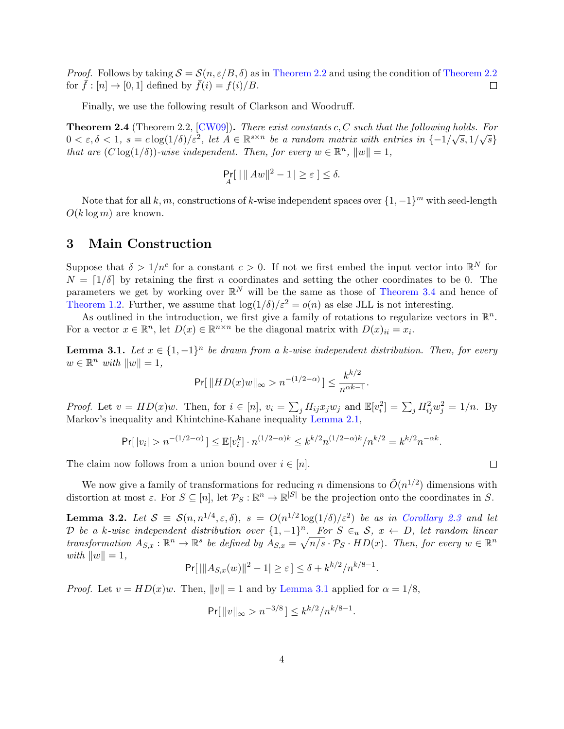*Proof.* Follows by taking  $S = \mathcal{S}(n, \varepsilon/B, \delta)$  as in [Theorem 2.2](#page-2-0) and using the condition of Theorem 2.2 for  $\bar{f}: [n] \to [0, 1]$  defined by  $\bar{f}(i) = f(i)/B$ .  $\Box$ 

Finally, we use the following result of Clarkson and Woodruff.

<span id="page-3-2"></span>**Theorem 2.4** (Theorem 2.2,  $[CW09]$ ). There exist constants c, C such that the following holds. For **Theorem 2.4** (Theorem 2.2, [OWO3]). There exist constants  $c, \text{C}$  such that the following holds. For  $0 < \varepsilon, \delta < 1$ ,  $s = c \log(1/\delta)/\varepsilon^2$ , let  $A \in \mathbb{R}^{s \times n}$  be a random matrix with entries in  $\{-1/\sqrt{s}, 1/\sqrt{s}\}$ that are  $(C \log(1/\delta))$ -wise independent. Then, for every  $w \in \mathbb{R}^n$ ,  $||w|| = 1$ ,

$$
\Pr_A[ \ ||Aw||^2 - 1 \, \vert \ge \varepsilon \, ] \le \delta.
$$

Note that for all k, m, constructions of k-wise independent spaces over  $\{1, -1\}^m$  with seed-length  $O(k \log m)$  are known.

### 3 Main Construction

Suppose that  $\delta > 1/n^c$  for a constant  $c > 0$ . If not we first embed the input vector into  $\mathbb{R}^N$  for  $N = \lfloor 1/\delta \rfloor$  by retaining the first n coordinates and setting the other coordinates to be 0. The parameters we get by working over  $\mathbb{R}^N$  will be the same as those of [Theorem 3.4](#page-5-0) and hence of [Theorem 1.2.](#page-1-0) Further, we assume that  $\log(1/\delta)/\epsilon^2 = o(n)$  as else JLL is not interesting.

As outlined in the introduction, we first give a family of rotations to regularize vectors in  $\mathbb{R}^n$ . For a vector  $x \in \mathbb{R}^n$ , let  $D(x) \in \mathbb{R}^{n \times n}$  be the diagonal matrix with  $D(x)_{ii} = x_i$ .

<span id="page-3-0"></span>**Lemma 3.1.** Let  $x \in \{1, -1\}^n$  be drawn from a k-wise independent distribution. Then, for every  $w \in \mathbb{R}^n$  with  $||w|| = 1$ ,

$$
\Pr[\|HD(x)w\|_{\infty} > n^{-(1/2-\alpha)}] \le \frac{k^{k/2}}{n^{\alpha k - 1}}.
$$

*Proof.* Let  $v = HD(x)w$ . Then, for  $i \in [n]$ ,  $v_i = \sum_j H_{ij} x_j w_j$  and  $\mathbb{E}[v_i^2] = \sum_j H_{ij}^2 w_j^2 = 1/n$ . By Markov's inequality and Khintchine-Kahane inequality [Lemma 2.1,](#page-2-1)

$$
\Pr[|v_i| > n^{-(1/2-\alpha)}] \leq \mathbb{E}[v_i^k] \cdot n^{(1/2-\alpha)k} \leq k^{k/2} n^{(1/2-\alpha)k} / n^{k/2} = k^{k/2} n^{-\alpha k}.
$$

The claim now follows from a union bound over  $i \in [n]$ .

We now give a family of transformations for reducing n dimensions to  $\tilde{O}(n^{1/2})$  dimensions with distortion at most  $\varepsilon$ . For  $S \subseteq [n]$ , let  $\mathcal{P}_S : \mathbb{R}^n \to \mathbb{R}^{|S|}$  be the projection onto the coordinates in S.

<span id="page-3-1"></span>**Lemma 3.2.** Let  $S \equiv S(n, n^{1/4}, \varepsilon, \delta)$ ,  $s = O(n^{1/2} \log(1/\delta)/\varepsilon^2)$  be as in [Corollary 2.3](#page-2-2) and let D be a k-wise independent distribution over  $\{1,-1\}^n$ . For  $S \in_u \mathcal{S}$ ,  $x \leftarrow D$ , let random linear transformation  $A_{S,x} : \mathbb{R}^n \to \mathbb{R}^s$  be defined by  $\overline{A_{S,x}} = \sqrt{n/s} \cdot \mathcal{P}_S \cdot HD(x)$ . Then, for every  $w \in \mathbb{R}^n$ with  $||w|| = 1$ ,

$$
Pr[|||A_{S,x}(w)||^2 - 1| \ge \varepsilon] \le \delta + k^{k/2}/n^{k/8 - 1}.
$$

*Proof.* Let  $v = HD(x)w$ . Then,  $||v|| = 1$  and by [Lemma 3.1](#page-3-0) applied for  $\alpha = 1/8$ ,

$$
\Pr[\|v\|_{\infty} > n^{-3/8}] \le k^{k/2}/n^{k/8-1}.
$$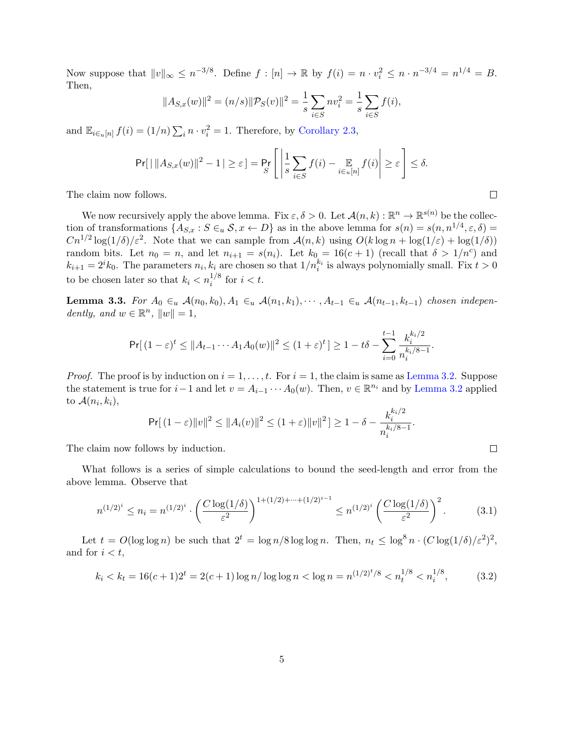Now suppose that  $||v||_{\infty} \leq n^{-3/8}$ . Define  $f : [n] \to \mathbb{R}$  by  $f(i) = n \cdot v_i^2 \leq n \cdot n^{-3/4} = n^{1/4} = B$ . Then,

$$
||A_{S,x}(w)||^2 = (n/s)||\mathcal{P}_S(v)||^2 = \frac{1}{s} \sum_{i \in S} n v_i^2 = \frac{1}{s} \sum_{i \in S} f(i),
$$

and  $\mathbb{E}_{i \in [n]} f(i) = (1/n) \sum_i n \cdot v_i^2 = 1$ . Therefore, by [Corollary 2.3,](#page-2-2)

$$
\Pr[|\,||A_{S,x}(w)||^2 - 1| \geq \varepsilon] = \Pr_{S} \left[ \left| \frac{1}{s} \sum_{i \in S} f(i) - \mathop{\mathbb{E}}_{i \in u[n]} f(i) \right| \geq \varepsilon \right] \leq \delta.
$$

The claim now follows.

We now recursively apply the above lemma. Fix  $\varepsilon, \delta > 0$ . Let  $\mathcal{A}(n, k) : \mathbb{R}^n \to \mathbb{R}^{s(n)}$  be the collection of transformations  $\{A_{S,x}: S \in u \text{ } S, x \leftarrow D\}$  as in the above lemma for  $s(n) = s(n, n^{1/4}, \varepsilon, \delta) =$  $Cn^{1/2}\log(1/\delta)/\epsilon^2$ . Note that we can sample from  $\mathcal{A}(n,k)$  using  $O(k\log n + \log(1/\epsilon) + \log(1/\delta))$ random bits. Let  $n_0 = n$ , and let  $n_{i+1} = s(n_i)$ . Let  $k_0 = 16(c+1)$  (recall that  $\delta > 1/n^c$ ) and  $k_{i+1} = 2^i k_0$ . The parameters  $n_i, k_i$  are chosen so that  $1/n_i^{k_i}$  is always polynomially small. Fix  $t > 0$ to be chosen later so that  $k_i < n_i^{1/8}$  for  $i < t$ .

<span id="page-4-0"></span>Lemma 3.3. For  $A_0 \in_u \mathcal{A}(n_0, k_0), A_1 \in_u \mathcal{A}(n_1, k_1), \cdots, A_{t-1} \in_u \mathcal{A}(n_{t-1}, k_{t-1})$  chosen independently, and  $w \in \mathbb{R}^n$ ,  $||w|| = 1$ ,

$$
\Pr[\,(1-\varepsilon)^t \leq \|A_{t-1}\cdots A_1A_0(w)\|^2 \leq (1+\varepsilon)^t\,]\geq 1-t\delta - \sum_{i=0}^{t-1}\frac{k_i^{k_i/2}}{n_i^{k_i/8-1}}.
$$

*Proof.* The proof is by induction on  $i = 1, \ldots, t$ . For  $i = 1$ , the claim is same as [Lemma 3.2.](#page-3-1) Suppose the statement is true for  $i-1$  and let  $v = A_{i-1} \cdots A_0(w)$ . Then,  $v \in \mathbb{R}^{n_i}$  and by [Lemma 3.2](#page-3-1) applied to  $\mathcal{A}(n_i,k_i)$ ,  $k \cdot 12$ 

<span id="page-4-2"></span>
$$
\Pr[(1-\varepsilon)\|v\|^2 \le \|A_i(v)\|^2 \le (1+\varepsilon)\|v\|^2] \ge 1-\delta - \frac{k_i^{\kappa_i/2}}{n_i^{\kappa_i/8-1}}.
$$

The claim now follows by induction.

What follows is a series of simple calculations to bound the seed-length and error from the above lemma. Observe that

$$
n^{(1/2)^i} \le n_i = n^{(1/2)^i} \cdot \left(\frac{C \log(1/\delta)}{\varepsilon^2}\right)^{1 + (1/2) + \dots + (1/2)^{i-1}} \le n^{(1/2)^i} \left(\frac{C \log(1/\delta)}{\varepsilon^2}\right)^2. \tag{3.1}
$$

Let  $t = O(\log \log n)$  be such that  $2^t = \log n/8 \log \log n$ . Then,  $n_t \leq \log^8 n \cdot (C \log(1/\delta)/\varepsilon^2)^2$ , and for  $i < t$ ,

<span id="page-4-1"></span>
$$
k_i < k_t = 16(c+1)2^t = 2(c+1)\log n / \log \log n < \log n = n^{(1/2)^t/8} < n_t^{1/8} < n_i^{1/8},\tag{3.2}
$$

 $\Box$ 

 $\Box$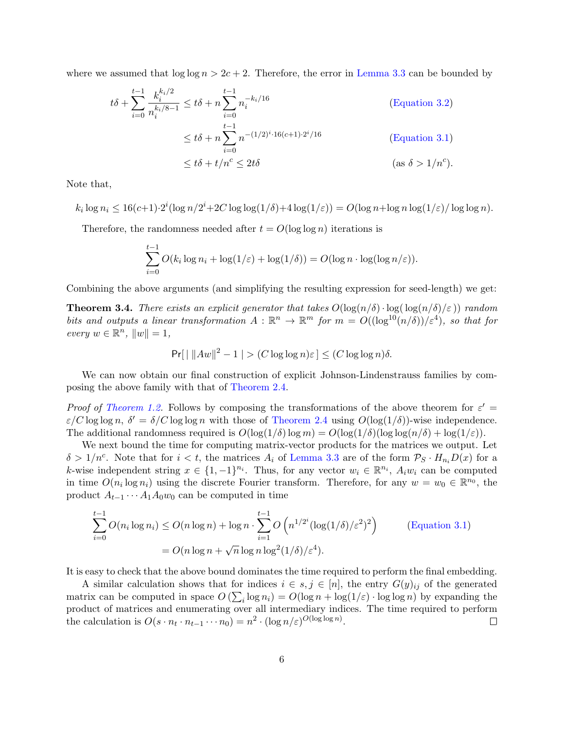where we assumed that  $\log \log n > 2c + 2$ . Therefore, the error in [Lemma 3.3](#page-4-0) can be bounded by

$$
t\delta + \sum_{i=0}^{t-1} \frac{k_i^{k_i/2}}{n_i^{k_i/8 - 1}} \le t\delta + n \sum_{i=0}^{t-1} n_i^{-k_i/16}
$$
 (Equation 3.2)  

$$
\le t\delta + n \sum_{i=0}^{t-1} n^{-(1/2)^i \cdot 16(c+1) \cdot 2^i/16}
$$
 (Equation 3.1)  

$$
\le t\delta + t/n^c \le 2t\delta
$$
 (as  $\delta > 1/n^c$ ).

Note that,

 $k_i \log n_i \leq 16(c+1) \cdot 2^i (\log n/2^i + 2C \log \log(1/\delta) + 4 \log(1/\varepsilon)) = O(\log n + \log n \log(1/\varepsilon) / \log \log n).$ 

Therefore, the randomness needed after  $t = O(\log \log n)$  iterations is

$$
\sum_{i=0}^{t-1} O(k_i \log n_i + \log(1/\varepsilon) + \log(1/\delta)) = O(\log n \cdot \log(\log n/\varepsilon)).
$$

<span id="page-5-0"></span>Combining the above arguments (and simplifying the resulting expression for seed-length) we get:

**Theorem 3.4.** There exists an explicit generator that takes  $O(\log(n/\delta) \cdot \log(\log(n/\delta)/\epsilon))$  random bits and outputs a linear transformation  $A: \mathbb{R}^n \to \mathbb{R}^m$  for  $m = O((\log^{10}(n/\delta))/\epsilon^4)$ , so that for  $every w \in \mathbb{R}^n, ||w|| = 1,$ 

$$
\Pr[\mid \|Aw\|^2 - 1 \mid > (C \log \log n)\varepsilon] \le (C \log \log n)\delta.
$$

We can now obtain our final construction of explicit Johnson-Lindenstrauss families by composing the above family with that of [Theorem 2.4.](#page-3-2)

Proof of [Theorem 1.2.](#page-1-0) Follows by composing the transformations of the above theorem for  $\varepsilon' =$  $\varepsilon/C \log \log n$ ,  $\delta' = \delta/C \log \log n$  with those of [Theorem 2.4](#page-3-2) using  $O(\log(1/\delta))$ -wise independence. The additional randomness required is  $O(\log(1/\delta) \log m) = O(\log(1/\delta) (\log \log(n/\delta) + \log(1/\varepsilon)).$ 

We next bound the time for computing matrix-vector products for the matrices we output. Let  $\delta > 1/n^c$ . Note that for  $i < t$ , the matrices  $A_i$  of [Lemma 3.3](#page-4-0) are of the form  $\mathcal{P}_S \cdot H_{n_i}D(x)$  for a k-wise independent string  $x \in \{1, -1\}^{n_i}$ . Thus, for any vector  $w_i \in \mathbb{R}^{n_i}$ ,  $A_i w_i$  can be computed in time  $O(n_i \log n_i)$  using the discrete Fourier transform. Therefore, for any  $w = w_0 \in \mathbb{R}^{n_0}$ , the product  $A_{t-1} \cdots A_1 A_0 w_0$  can be computed in time

$$
\sum_{i=0}^{t-1} O(n_i \log n_i) \le O(n \log n) + \log n \cdot \sum_{i=1}^{t-1} O\left(n^{1/2^i} (\log(1/\delta)/\varepsilon^2)^2\right)
$$
 (Equation 3.1)  
=  $O(n \log n + \sqrt{n} \log n \log^2(1/\delta)/\varepsilon^4)$ .

It is easy to check that the above bound dominates the time required to perform the final embedding.

A similar calculation shows that for indices  $i \in s, j \in [n]$ , the entry  $G(y)_{ij}$  of the generated matrix can be computed in space  $O\left(\sum_i \log n_i\right) = O(\log n + \log(1/\varepsilon) \cdot \log \log n)$  by expanding the product of matrices and enumerating over all intermediary indices. The time required to perform the calculation is  $O(s \cdot n_t \cdot n_{t-1} \cdots n_0) = n^2 \cdot (\log n/\varepsilon)^{O(\log \log n)}$ .  $\Box$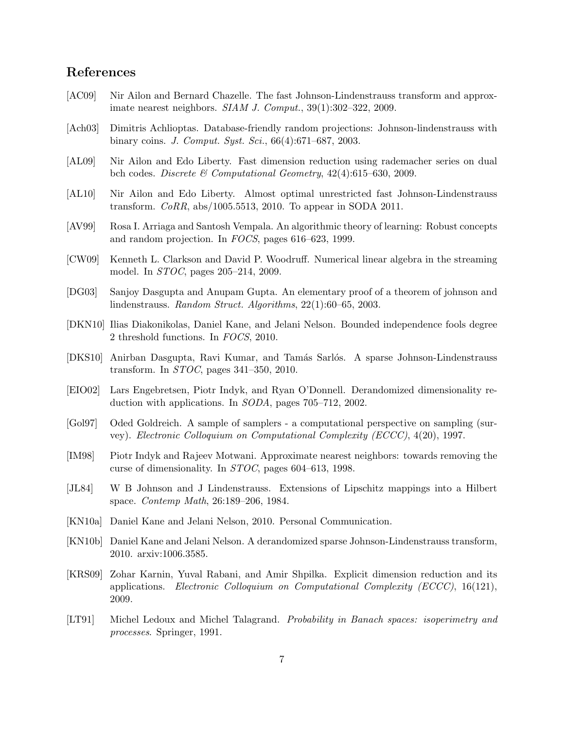## References

- <span id="page-6-6"></span>[AC09] Nir Ailon and Bernard Chazelle. The fast Johnson-Lindenstrauss transform and approximate nearest neighbors. SIAM J. Comput., 39(1):302–322, 2009.
- [Ach03] Dimitris Achlioptas. Database-friendly random projections: Johnson-lindenstrauss with binary coins. J. Comput. Syst. Sci., 66(4):671–687, 2003.
- <span id="page-6-7"></span>[AL09] Nir Ailon and Edo Liberty. Fast dimension reduction using rademacher series on dual bch codes. Discrete & Computational Geometry, 42(4):615–630, 2009.
- <span id="page-6-9"></span>[AL10] Nir Ailon and Edo Liberty. Almost optimal unrestricted fast Johnson-Lindenstrauss transform. CoRR, abs/1005.5513, 2010. To appear in SODA 2011.
- [AV99] Rosa I. Arriaga and Santosh Vempala. An algorithmic theory of learning: Robust concepts and random projection. In FOCS, pages 616–623, 1999.
- <span id="page-6-4"></span>[CW09] Kenneth L. Clarkson and David P. Woodruff. Numerical linear algebra in the streaming model. In STOC, pages 205–214, 2009.
- [DG03] Sanjoy Dasgupta and Anupam Gupta. An elementary proof of a theorem of johnson and lindenstrauss. Random Struct. Algorithms, 22(1):60–65, 2003.
- <span id="page-6-3"></span>[DKN10] Ilias Diakonikolas, Daniel Kane, and Jelani Nelson. Bounded independence fools degree 2 threshold functions. In FOCS, 2010.
- <span id="page-6-8"></span>[DKS10] Anirban Dasgupta, Ravi Kumar, and Tamás Sarlós. A sparse Johnson-Lindenstrauss transform. In STOC, pages 341–350, 2010.
- <span id="page-6-5"></span>[EIO02] Lars Engebretsen, Piotr Indyk, and Ryan O'Donnell. Derandomized dimensionality reduction with applications. In SODA, pages 705–712, 2002.
- <span id="page-6-0"></span>[Gol97] Oded Goldreich. A sample of samplers - a computational perspective on sampling (survey). Electronic Colloquium on Computational Complexity (ECCC), 4(20), 1997.
- [IM98] Piotr Indyk and Rajeev Motwani. Approximate nearest neighbors: towards removing the curse of dimensionality. In STOC, pages 604–613, 1998.
- [JL84] W B Johnson and J Lindenstrauss. Extensions of Lipschitz mappings into a Hilbert space. Contemp Math, 26:189–206, 1984.
- <span id="page-6-1"></span>[KN10a] Daniel Kane and Jelani Nelson, 2010. Personal Communication.
- <span id="page-6-10"></span>[KN10b] Daniel Kane and Jelani Nelson. A derandomized sparse Johnson-Lindenstrauss transform, 2010. arxiv:1006.3585.
- <span id="page-6-2"></span>[KRS09] Zohar Karnin, Yuval Rabani, and Amir Shpilka. Explicit dimension reduction and its applications. Electronic Colloquium on Computational Complexity (ECCC), 16(121), 2009.
- <span id="page-6-11"></span>[LT91] Michel Ledoux and Michel Talagrand. Probability in Banach spaces: isoperimetry and processes. Springer, 1991.